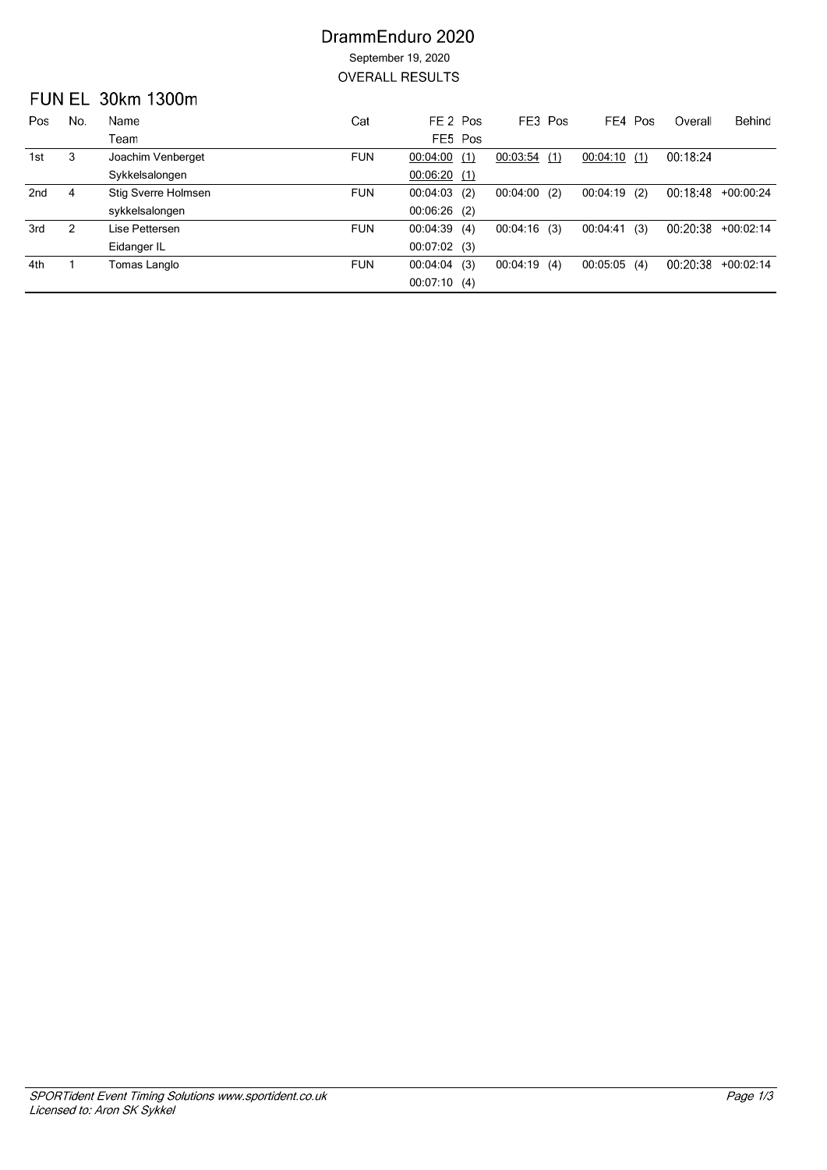### DrammEnduro 2020 September 19, 2020 **OVERALL RESULTS**

### **FUN EL 30km 1300m**

| Pos             | No. | Name                | Cat        | FE 2 Pos        | FE3 Pos     |     |                | FE4 Pos | Overall  | Behind      |
|-----------------|-----|---------------------|------------|-----------------|-------------|-----|----------------|---------|----------|-------------|
|                 |     | Team                |            | FE5 Pos         |             |     |                |         |          |             |
| 1st             | 3   | Joachim Venberget   | <b>FUN</b> | 00:04:00(1)     | 00:03:54    | (1) | 00:04:10(1)    |         | 00:18:24 |             |
|                 |     | Sykkelsalongen      |            | 00:06:20(1)     |             |     |                |         |          |             |
| 2 <sub>nd</sub> | 4   | Stig Sverre Holmsen | <b>FUN</b> | $00:04:03$ (2)  | 00:04:00    | (2) | $00:04:19$ (2) |         | 00:18:48 | $+00:00:24$ |
|                 |     | sykkelsalongen      |            | $00:06:26$ (2)  |             |     |                |         |          |             |
| 3rd             | 2   | Lise Pettersen      | <b>FUN</b> | 00:04:39(4)     | 00:04:16(3) |     | 00:04:41       | (3)     | 00:20:38 | $+00:02:14$ |
|                 |     | Eidanger IL         |            | 00:07:02(3)     |             |     |                |         |          |             |
| 4th             |     | Tomas Langlo        | <b>FUN</b> | (3)<br>00:04:04 | 00:04:19    | (4) | $00:05:05$ (4) |         | 00:20:38 | $+00:02:14$ |
|                 |     |                     |            | 00:07:10(4)     |             |     |                |         |          |             |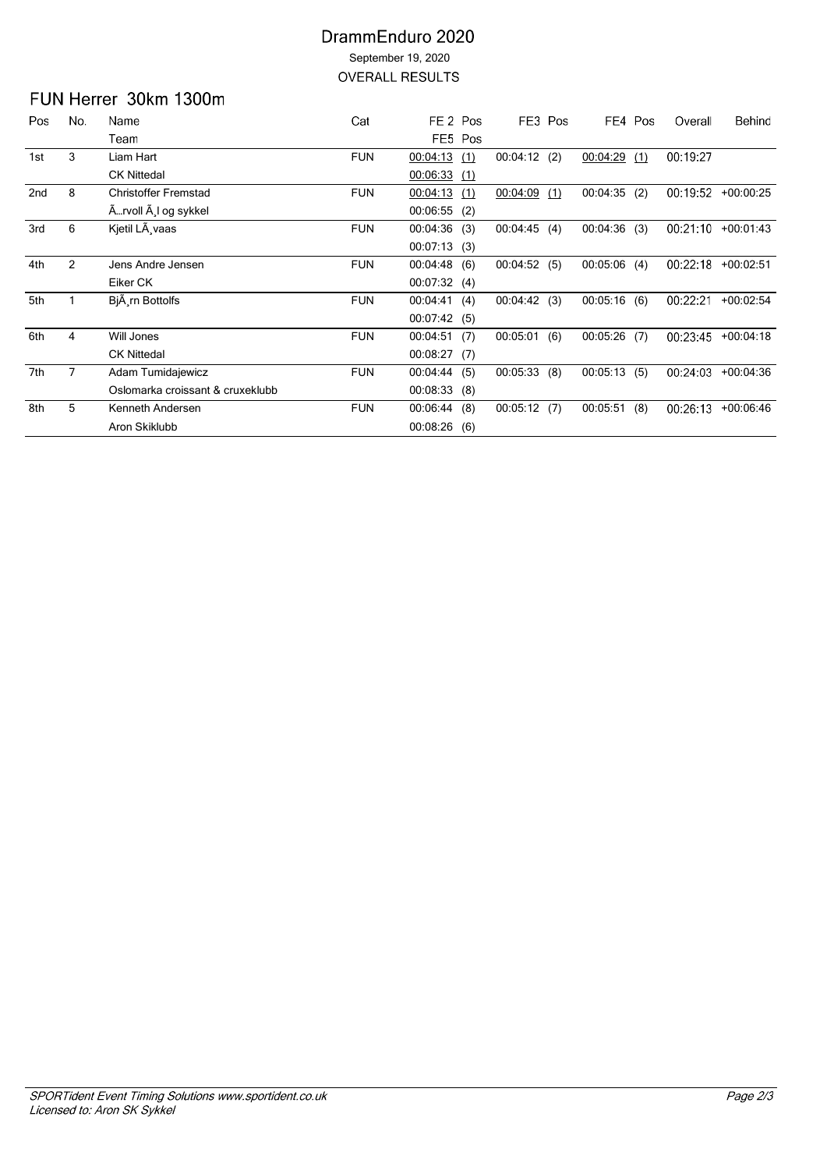#### DrammEnduro 2020 September 19, 2020 **OVERALL RESULTS**

# FUN Herrer 30km 1300m

| Pos | No. | Name                             | Cat        | FE <sub>2</sub> Pos |     | FE3 Pos     |     |             | FE4 Pos | Overall  | Behind      |
|-----|-----|----------------------------------|------------|---------------------|-----|-------------|-----|-------------|---------|----------|-------------|
|     |     | Team                             |            | FE5 Pos             |     |             |     |             |         |          |             |
| 1st | 3   | Liam Hart                        | <b>FUN</b> | 00:04:13            | (1) | 00:04:12(2) |     | 00:04:29    | (1)     | 00:19:27 |             |
|     |     | <b>CK Nittedal</b>               |            | 00:06:33            | (1) |             |     |             |         |          |             |
| 2nd | 8   | <b>Christoffer Fremstad</b>      | <b>FUN</b> | 00:04:13            | (1) | 00:04:09    | (1) | 00:04:35    | (2)     | 00:19:52 | $+00:00:25$ |
|     |     | Ärvoll Ä,l og sykkel             |            | 00:06:55            | (2) |             |     |             |         |          |             |
| 3rd | 6   | Kjetil LÃ vaas                   | <b>FUN</b> | 00:04:36            | (3) | 00:04:45    | (4) | 00:04:36    | (3)     | 00:21:10 | $+00:01:43$ |
|     |     |                                  |            | 00:07:13(3)         |     |             |     |             |         |          |             |
| 4th | 2   | Jens Andre Jensen                | <b>FUN</b> | $00:04:48$ (6)      |     | 00:04:52(5) |     | 00:05:06    | (4)     | 00:22:18 | $+00:02:51$ |
|     |     | Eiker CK                         |            | 00:07:32(4)         |     |             |     |             |         |          |             |
| 5th |     | BjA rn Bottolfs                  | <b>FUN</b> | 00:04:41(4)         |     | 00:04:42(3) |     | 00:05:16(6) |         | 00:22:21 | $+00:02:54$ |
|     |     |                                  |            | 00:07:42(5)         |     |             |     |             |         |          |             |
| 6th | 4   | Will Jones                       | <b>FUN</b> | 00:04:51(7)         |     | 00:05:01    | (6) | 00:05:26    | (7)     | 00:23:45 | $+00:04:18$ |
|     |     | <b>CK Nittedal</b>               |            | 00:08:27(7)         |     |             |     |             |         |          |             |
| 7th | 7   | Adam Tumidajewicz                | <b>FUN</b> | 00:04:44            | (5) | 00:05:33    | (8) | 00:05:13    | (5)     | 00:24:03 | $+00:04:36$ |
|     |     | Oslomarka croissant & cruxeklubb |            | 00:08:33            | (8) |             |     |             |         |          |             |
| 8th | 5   | Kenneth Andersen                 | <b>FUN</b> | 00:06:44            | (8) | 00:05:12(7) |     | 00:05:51    | (8)     | 00:26:13 | $+00.06:46$ |
|     |     | Aron Skiklubb                    |            | 00:08:26            | (6) |             |     |             |         |          |             |